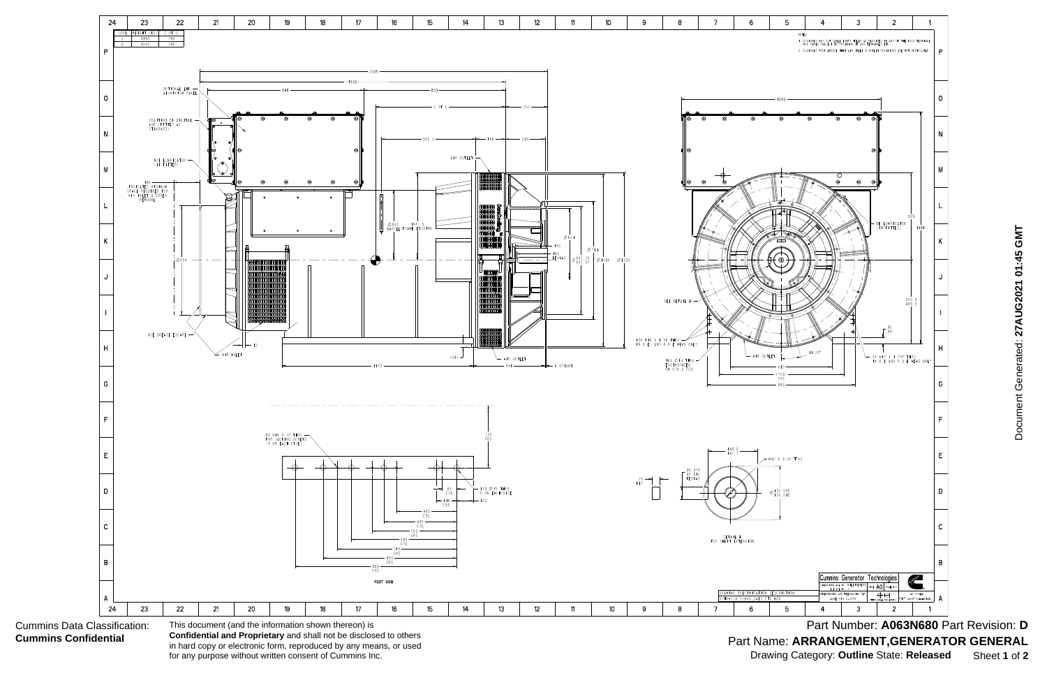

Part Number: A063N680 Part Revision: D Part Name: **ARRANGEMENT,GENERATOR GENERAL** Drawing Category: **Outline** State: **Released** Sheet **1** of **2**

in hard copy or electronic form, reproduced by any means, or used for any purpose without written consent of Cummins Inc.